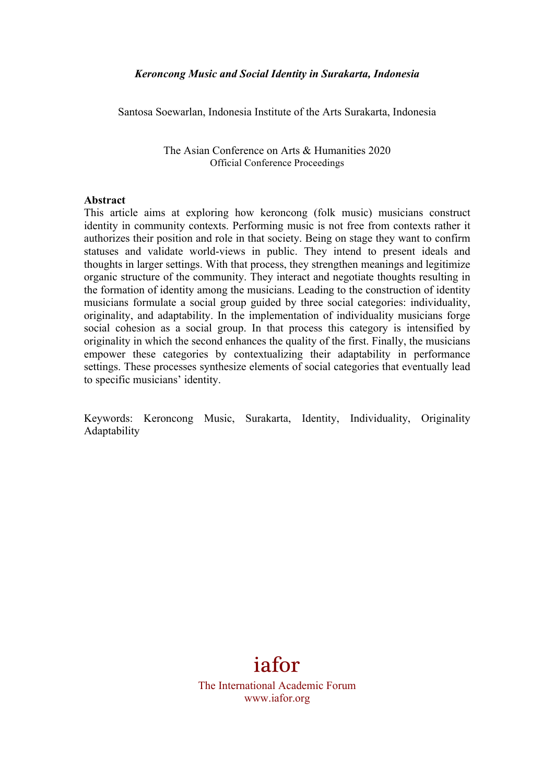Santosa Soewarlan, Indonesia Institute of the Arts Surakarta, Indonesia

The Asian Conference on Arts & Humanities 2020 Official Conference Proceedings

#### **Abstract**

This article aims at exploring how keroncong (folk music) musicians construct identity in community contexts. Performing music is not free from contexts rather it authorizes their position and role in that society. Being on stage they want to confirm statuses and validate world-views in public. They intend to present ideals and thoughts in larger settings. With that process, they strengthen meanings and legitimize organic structure of the community. They interact and negotiate thoughts resulting in the formation of identity among the musicians. Leading to the construction of identity musicians formulate a social group guided by three social categories: individuality, originality, and adaptability. In the implementation of individuality musicians forge social cohesion as a social group. In that process this category is intensified by originality in which the second enhances the quality of the first. Finally, the musicians empower these categories by contextualizing their adaptability in performance settings. These processes synthesize elements of social categories that eventually lead to specific musicians' identity.

Keywords: Keroncong Music, Surakarta, Identity, Individuality, Originality Adaptability



The International Academic Forum www.iafor.org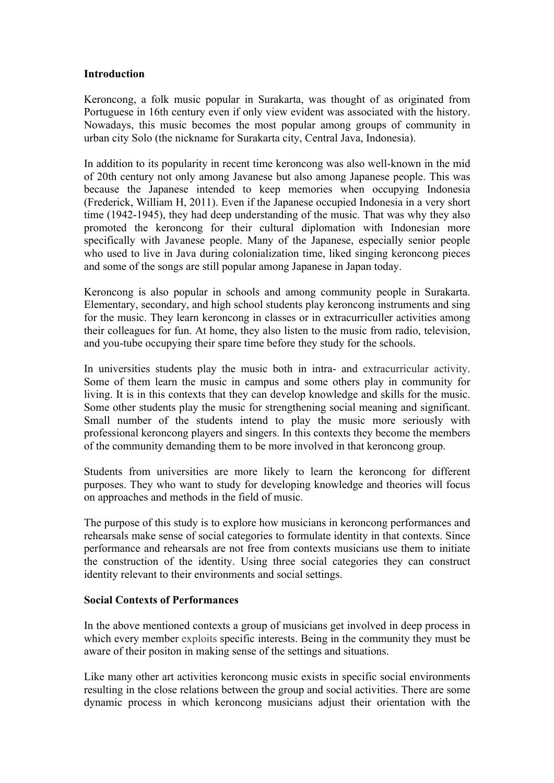### **Introduction**

Keroncong, a folk music popular in Surakarta, was thought of as originated from Portuguese in 16th century even if only view evident was associated with the history. Nowadays, this music becomes the most popular among groups of community in urban city Solo (the nickname for Surakarta city, Central Java, Indonesia).

In addition to its popularity in recent time keroncong was also well-known in the mid of 20th century not only among Javanese but also among Japanese people. This was because the Japanese intended to keep memories when occupying Indonesia (Frederick, William H, 2011). Even if the Japanese occupied Indonesia in a very short time (1942-1945), they had deep understanding of the music. That was why they also promoted the keroncong for their cultural diplomation with Indonesian more specifically with Javanese people. Many of the Japanese, especially senior people who used to live in Java during colonialization time, liked singing keroncong pieces and some of the songs are still popular among Japanese in Japan today.

Keroncong is also popular in schools and among community people in Surakarta. Elementary, secondary, and high school students play keroncong instruments and sing for the music. They learn keroncong in classes or in extracurriculler activities among their colleagues for fun. At home, they also listen to the music from radio, television, and you-tube occupying their spare time before they study for the schools.

In universities students play the music both in intra- and extracurricular activity. Some of them learn the music in campus and some others play in community for living. It is in this contexts that they can develop knowledge and skills for the music. Some other students play the music for strengthening social meaning and significant. Small number of the students intend to play the music more seriously with professional keroncong players and singers. In this contexts they become the members of the community demanding them to be more involved in that keroncong group.

Students from universities are more likely to learn the keroncong for different purposes. They who want to study for developing knowledge and theories will focus on approaches and methods in the field of music.

The purpose of this study is to explore how musicians in keroncong performances and rehearsals make sense of social categories to formulate identity in that contexts. Since performance and rehearsals are not free from contexts musicians use them to initiate the construction of the identity. Using three social categories they can construct identity relevant to their environments and social settings.

### **Social Contexts of Performances**

In the above mentioned contexts a group of musicians get involved in deep process in which every member exploits specific interests. Being in the community they must be aware of their positon in making sense of the settings and situations.

Like many other art activities keroncong music exists in specific social environments resulting in the close relations between the group and social activities. There are some dynamic process in which keroncong musicians adjust their orientation with the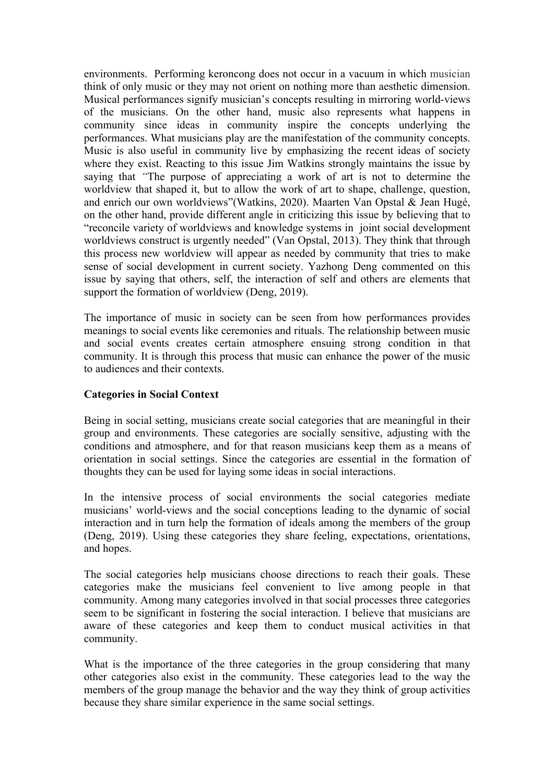environments. Performing keroncong does not occur in a vacuum in which musician think of only music or they may not orient on nothing more than aesthetic dimension. Musical performances signify musician's concepts resulting in mirroring world-views of the musicians. On the other hand, music also represents what happens in community since ideas in community inspire the concepts underlying the performances. What musicians play are the manifestation of the community concepts. Music is also useful in community live by emphasizing the recent ideas of society where they exist. Reacting to this issue Jim Watkins strongly maintains the issue by saying that *"*The purpose of appreciating a work of art is not to determine the worldview that shaped it, but to allow the work of art to shape, challenge, question, and enrich our own worldviews"(Watkins, 2020). Maarten Van Opstal & Jean Hugé, on the other hand, provide different angle in criticizing this issue by believing that to "reconcile variety of worldviews and knowledge systems in joint social development worldviews construct is urgently needed" (Van Opstal, 2013). They think that through this process new worldview will appear as needed by community that tries to make sense of social development in current society. Yazhong Deng commented on this issue by saying that others, self, the interaction of self and others are elements that support the formation of worldview (Deng, 2019).

The importance of music in society can be seen from how performances provides meanings to social events like ceremonies and rituals. The relationship between music and social events creates certain atmosphere ensuing strong condition in that community. It is through this process that music can enhance the power of the music to audiences and their contexts.

### **Categories in Social Context**

Being in social setting, musicians create social categories that are meaningful in their group and environments. These categories are socially sensitive, adjusting with the conditions and atmosphere, and for that reason musicians keep them as a means of orientation in social settings. Since the categories are essential in the formation of thoughts they can be used for laying some ideas in social interactions.

In the intensive process of social environments the social categories mediate musicians' world-views and the social conceptions leading to the dynamic of social interaction and in turn help the formation of ideals among the members of the group (Deng, 2019). Using these categories they share feeling, expectations, orientations, and hopes.

The social categories help musicians choose directions to reach their goals. These categories make the musicians feel convenient to live among people in that community. Among many categories involved in that social processes three categories seem to be significant in fostering the social interaction. I believe that musicians are aware of these categories and keep them to conduct musical activities in that community.

What is the importance of the three categories in the group considering that many other categories also exist in the community. These categories lead to the way the members of the group manage the behavior and the way they think of group activities because they share similar experience in the same social settings.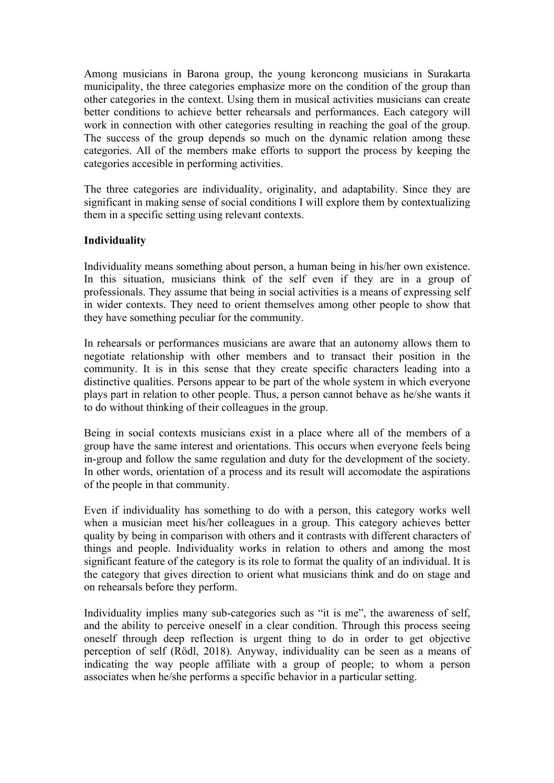Among musicians in Barona group, the young keroncong musicians in Surakarta municipality, the three categories emphasize more on the condition of the group than other categories in the context. Using them in musical activities musicians can create better conditions to achieve better rehearsals and performances. Each category will work in connection with other categories resulting in reaching the goal of the group. The success of the group depends so much on the dynamic relation among these categories. All of the members make efforts to support the process by keeping the categories accesible in performing activities.

The three categories are individuality, originality, and adaptability. Since they are significant in making sense of social conditions I will explore them by contextualizing them in a specific setting using relevant contexts.

### **Individuality**

Individuality means something about person, a human being in his/her own existence. In this situation, musicians think of the self even if they are in a group of professionals. They assume that being in social activities is a means of expressing self in wider contexts. They need to orient themselves among other people to show that they have something peculiar for the community.

In rehearsals or performances musicians are aware that an autonomy allows them to negotiate relationship with other members and to transact their position in the community. It is in this sense that they create specific characters leading into a distinctive qualities. Persons appear to be part of the whole system in which everyone plays part in relation to other people. Thus, a person cannot behave as he/she wants it to do without thinking of their colleagues in the group.

Being in social contexts musicians exist in a place where all of the members of a group have the same interest and orientations. This occurs when everyone feels being in-group and follow the same regulation and duty for the development of the society. In other words, orientation of a process and its result will accomodate the aspirations of the people in that community.

Even if individuality has something to do with a person, this category works well when a musician meet his/her colleagues in a group. This category achieves better quality by being in comparison with others and it contrasts with different characters of things and people. Individuality works in relation to others and among the most significant feature of the category is its role to format the quality of an individual. It is the category that gives direction to orient what musicians think and do on stage and on rehearsals before they perform.

Individuality implies many sub-categories such as "it is me", the awareness of self, and the ability to perceive oneself in a clear condition. Through this process seeing oneself through deep reflection is urgent thing to do in order to get objective perception of self (Rödl, 2018). Anyway, individuality can be seen as a means of indicating the way people affiliate with a group of people; to whom a person associates when he/she performs a specific behavior in a particular setting.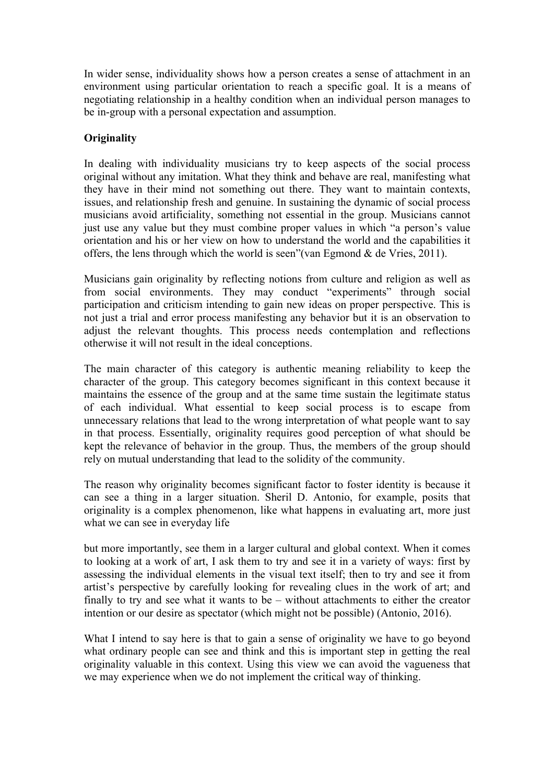In wider sense, individuality shows how a person creates a sense of attachment in an environment using particular orientation to reach a specific goal. It is a means of negotiating relationship in a healthy condition when an individual person manages to be in-group with a personal expectation and assumption.

# **Originality**

In dealing with individuality musicians try to keep aspects of the social process original without any imitation. What they think and behave are real, manifesting what they have in their mind not something out there. They want to maintain contexts, issues, and relationship fresh and genuine. In sustaining the dynamic of social process musicians avoid artificiality, something not essential in the group. Musicians cannot just use any value but they must combine proper values in which "a person's value orientation and his or her view on how to understand the world and the capabilities it offers, the lens through which the world is seen"(van Egmond  $\&$  de Vries, 2011).

Musicians gain originality by reflecting notions from culture and religion as well as from social environments. They may conduct "experiments" through social participation and criticism intending to gain new ideas on proper perspective. This is not just a trial and error process manifesting any behavior but it is an observation to adjust the relevant thoughts. This process needs contemplation and reflections otherwise it will not result in the ideal conceptions.

The main character of this category is authentic meaning reliability to keep the character of the group. This category becomes significant in this context because it maintains the essence of the group and at the same time sustain the legitimate status of each individual. What essential to keep social process is to escape from unnecessary relations that lead to the wrong interpretation of what people want to say in that process. Essentially, originality requires good perception of what should be kept the relevance of behavior in the group. Thus, the members of the group should rely on mutual understanding that lead to the solidity of the community.

The reason why originality becomes significant factor to foster identity is because it can see a thing in a larger situation. Sheril D. Antonio, for example, posits that originality is a complex phenomenon, like what happens in evaluating art, more just what we can see in everyday life

but more importantly, see them in a larger cultural and global context. When it comes to looking at a work of art, I ask them to try and see it in a variety of ways: first by assessing the individual elements in the visual text itself; then to try and see it from artist's perspective by carefully looking for revealing clues in the work of art; and finally to try and see what it wants to be – without attachments to either the creator intention or our desire as spectator (which might not be possible) (Antonio, 2016).

What I intend to say here is that to gain a sense of originality we have to go beyond what ordinary people can see and think and this is important step in getting the real originality valuable in this context. Using this view we can avoid the vagueness that we may experience when we do not implement the critical way of thinking.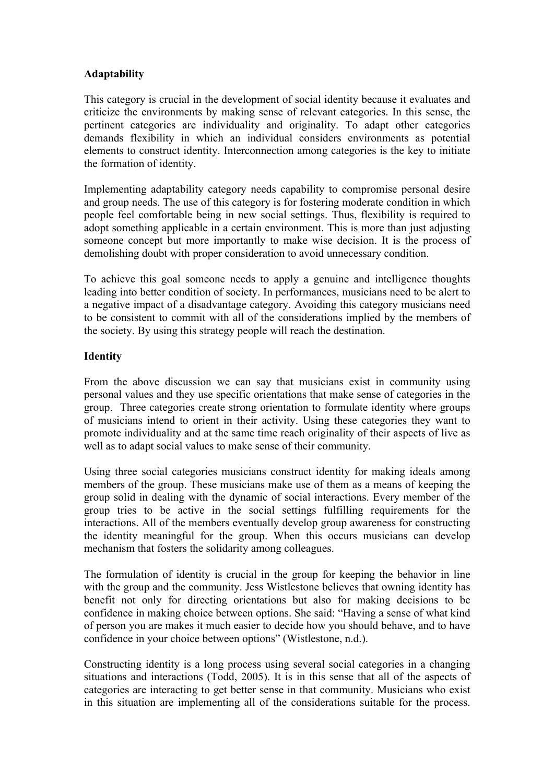## **Adaptability**

This category is crucial in the development of social identity because it evaluates and criticize the environments by making sense of relevant categories. In this sense, the pertinent categories are individuality and originality. To adapt other categories demands flexibility in which an individual considers environments as potential elements to construct identity. Interconnection among categories is the key to initiate the formation of identity.

Implementing adaptability category needs capability to compromise personal desire and group needs. The use of this category is for fostering moderate condition in which people feel comfortable being in new social settings. Thus, flexibility is required to adopt something applicable in a certain environment. This is more than just adjusting someone concept but more importantly to make wise decision. It is the process of demolishing doubt with proper consideration to avoid unnecessary condition.

To achieve this goal someone needs to apply a genuine and intelligence thoughts leading into better condition of society. In performances, musicians need to be alert to a negative impact of a disadvantage category. Avoiding this category musicians need to be consistent to commit with all of the considerations implied by the members of the society. By using this strategy people will reach the destination.

## **Identity**

From the above discussion we can say that musicians exist in community using personal values and they use specific orientations that make sense of categories in the group. Three categories create strong orientation to formulate identity where groups of musicians intend to orient in their activity. Using these categories they want to promote individuality and at the same time reach originality of their aspects of live as well as to adapt social values to make sense of their community.

Using three social categories musicians construct identity for making ideals among members of the group. These musicians make use of them as a means of keeping the group solid in dealing with the dynamic of social interactions. Every member of the group tries to be active in the social settings fulfilling requirements for the interactions. All of the members eventually develop group awareness for constructing the identity meaningful for the group. When this occurs musicians can develop mechanism that fosters the solidarity among colleagues.

The formulation of identity is crucial in the group for keeping the behavior in line with the group and the community. Jess Wistlestone believes that owning identity has benefit not only for directing orientations but also for making decisions to be confidence in making choice between options. She said: "Having a sense of what kind of person you are makes it much easier to decide how you should behave, and to have confidence in your choice between options" (Wistlestone, n.d.).

Constructing identity is a long process using several social categories in a changing situations and interactions (Todd, 2005). It is in this sense that all of the aspects of categories are interacting to get better sense in that community. Musicians who exist in this situation are implementing all of the considerations suitable for the process.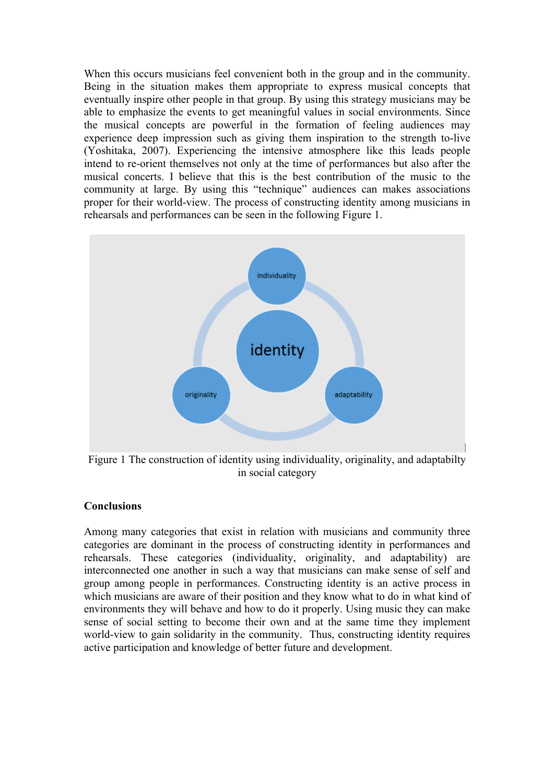When this occurs musicians feel convenient both in the group and in the community. Being in the situation makes them appropriate to express musical concepts that eventually inspire other people in that group. By using this strategy musicians may be able to emphasize the events to get meaningful values in social environments. Since the musical concepts are powerful in the formation of feeling audiences may experience deep impression such as giving them inspiration to the strength to-live (Yoshitaka, 2007). Experiencing the intensive atmosphere like this leads people intend to re-orient themselves not only at the time of performances but also after the musical concerts. I believe that this is the best contribution of the music to the community at large. By using this "technique" audiences can makes associations proper for their world-view. The process of constructing identity among musicians in rehearsals and performances can be seen in the following Figure 1.



Figure 1 The construction of identity using individuality, originality, and adaptabilty in social category

### **Conclusions**

Among many categories that exist in relation with musicians and community three categories are dominant in the process of constructing identity in performances and rehearsals. These categories (individuality, originality, and adaptability) are interconnected one another in such a way that musicians can make sense of self and group among people in performances. Constructing identity is an active process in which musicians are aware of their position and they know what to do in what kind of environments they will behave and how to do it properly. Using music they can make sense of social setting to become their own and at the same time they implement world-view to gain solidarity in the community. Thus, constructing identity requires active participation and knowledge of better future and development.